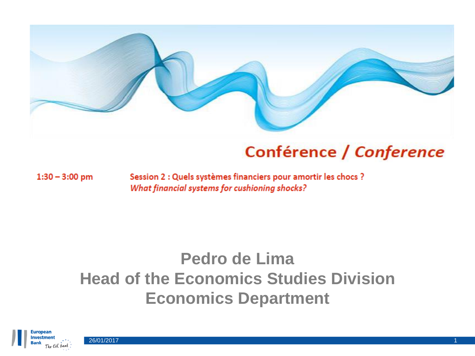

### Conférence / Conference

 $1:30 - 3:00$  pm

Session 2 : Quels systèmes financiers pour amortir les chocs ? What financial systems for cushioning shocks?

# **Pedro de Lima Head of the Economics Studies Division Economics Department**